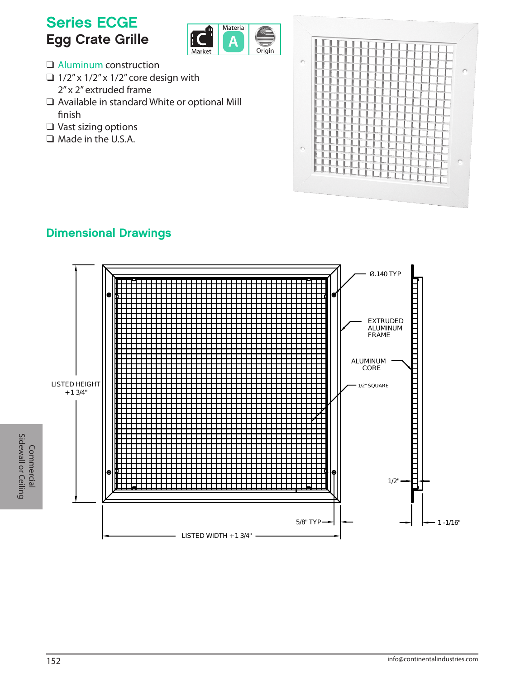# Series ECGE Egg Crate Grille



- $\Box$  Aluminum construction
- $\Box$  1/2" x 1/2" x 1/2" core design with 2" x 2" extruded frame
- $\Box$  Available in standard White or optional Mill finish
- $\Box$  Vast sizing options
- $\Box$  Made in the U.S.A.



## Dimensional Drawings

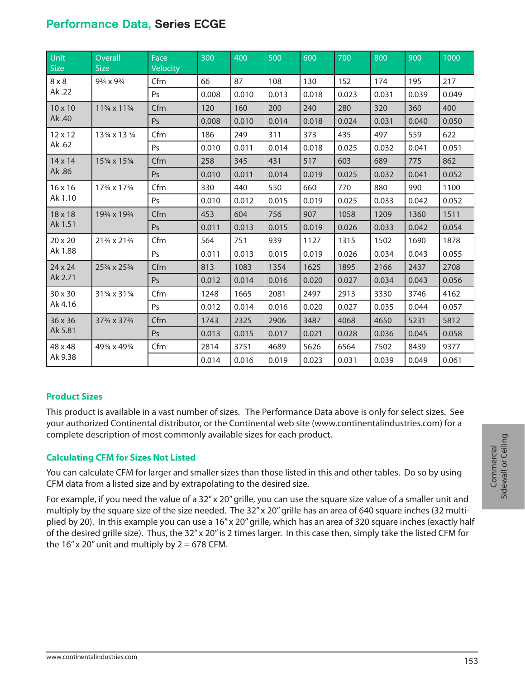### Performance Data, Series ECGE

| Unit<br><b>Size</b>       | Overall<br><b>Size</b> | Face<br>Velocity | 300   | 400   | 500   | 600   | 700   | 800   | 900   | 1000  |
|---------------------------|------------------------|------------------|-------|-------|-------|-------|-------|-------|-------|-------|
| $8 \times 8$<br>Ak.22     | 93/4 x 93/4            | Cfm              | 66    | 87    | 108   | 130   | 152   | 174   | 195   | 217   |
|                           |                        | Ps               | 0.008 | 0.010 | 0.013 | 0.018 | 0.023 | 0.031 | 0.039 | 0.049 |
| $10 \times 10$<br>Ak.40   | 113/4 x 113/4          | Cfm              | 120   | 160   | 200   | 240   | 280   | 320   | 360   | 400   |
|                           |                        | Ps               | 0.008 | 0.010 | 0.014 | 0.018 | 0.024 | 0.031 | 0.040 | 0.050 |
| 12 x 12<br>Ak .62         | 133/4 x 13 3/4         | Cfm              | 186   | 249   | 311   | 373   | 435   | 497   | 559   | 622   |
|                           |                        | Ps               | 0.010 | 0.011 | 0.014 | 0.018 | 0.025 | 0.032 | 0.041 | 0.051 |
| $14 \times 14$<br>Ak.86   | 153/4 x 153/4          | Cfm              | 258   | 345   | 431   | 517   | 603   | 689   | 775   | 862   |
|                           |                        | Ps               | 0.010 | 0.011 | 0.014 | 0.019 | 0.025 | 0.032 | 0.041 | 0.052 |
| 16 x 16<br>Ak 1.10        | 173/4 x 173/4          | Cfm              | 330   | 440   | 550   | 660   | 770   | 880   | 990   | 1100  |
|                           |                        | Ps               | 0.010 | 0.012 | 0.015 | 0.019 | 0.025 | 0.033 | 0.042 | 0.052 |
| 18 x 18<br>Ak 1.51        | 193/4 x 193/4          | Cfm              | 453   | 604   | 756   | 907   | 1058  | 1209  | 1360  | 1511  |
|                           |                        | Ps               | 0.011 | 0.013 | 0.015 | 0.019 | 0.026 | 0.033 | 0.042 | 0.054 |
| $20 \times 20$<br>Ak 1.88 | 213/4 x 213/4          | Cfm              | 564   | 751   | 939   | 1127  | 1315  | 1502  | 1690  | 1878  |
|                           |                        | Ps               | 0.011 | 0.013 | 0.015 | 0.019 | 0.026 | 0.034 | 0.043 | 0.055 |
| 24 x 24<br>Ak 2.71        | 253/4 x 253/4          | Cfm              | 813   | 1083  | 1354  | 1625  | 1895  | 2166  | 2437  | 2708  |
|                           |                        | Ps               | 0.012 | 0.014 | 0.016 | 0.020 | 0.027 | 0.034 | 0.043 | 0.056 |
| 30 x 30<br>Ak 4.16        | 313/4 x 313/4          | Cfm              | 1248  | 1665  | 2081  | 2497  | 2913  | 3330  | 3746  | 4162  |
|                           |                        | Ps               | 0.012 | 0.014 | 0.016 | 0.020 | 0.027 | 0.035 | 0.044 | 0.057 |
| 36 x 36<br>Ak 5.81        | 373/4 x 373/4          | Cfm              | 1743  | 2325  | 2906  | 3487  | 4068  | 4650  | 5231  | 5812  |
|                           |                        | Ps               | 0.013 | 0.015 | 0.017 | 0.021 | 0.028 | 0.036 | 0.045 | 0.058 |
| 48 x 48<br>Ak 9.38        | 493/4 x 493/4          | Cfm              | 2814  | 3751  | 4689  | 5626  | 6564  | 7502  | 8439  | 9377  |
|                           |                        |                  | 0.014 | 0.016 | 0.019 | 0.023 | 0.031 | 0.039 | 0.049 | 0.061 |

#### **Product Sizes**

This product is available in a vast number of sizes. The Performance Data above is only for select sizes. See your authorized Continental distributor, or the Continental web site [\(www.continentalindustries.com](http://www.continentalindustries.com)) for a complete description of most commonly available sizes for each product.

#### **Calculating CFM for Sizes Not Listed**

You can calculate CFM for larger and smaller sizes than those listed in this and other tables. Do so by using CFM data from a listed size and by extrapolating to the desired size.

For example, if you need the value of a 32" x 20" grille, you can use the square size value of a smaller unit and multiply by the square size of the size needed. The 32" x 20" grille has an area of 640 square inches (32 multiplied by 20). In this example you can use a 16" x 20" grille, which has an area of 320 square inches (exactly half of the desired grille size). Thus, the 32" x 20" is 2 times larger. In this case then, simply take the listed CFM for the  $16''$  x 20" unit and multiply by 2 = 678 CFM.